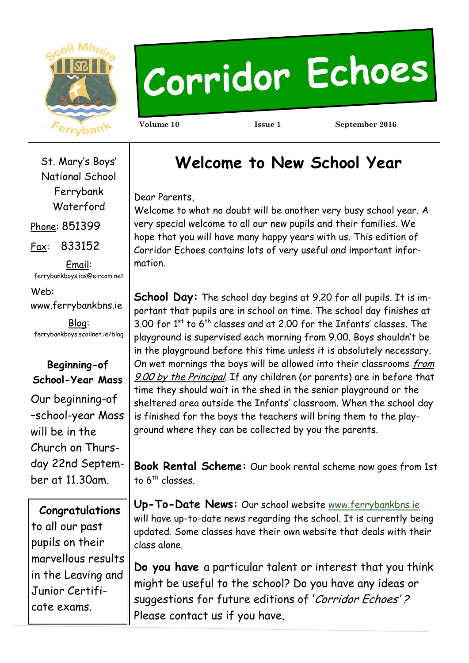

# Corridor Echoes

**Volume 10 Issue 1 September 2016** 

St. Mary's Boys' National School Ferrybank Waterford Phone: 851399

Fax: 833152

Email: ferrybankboys.ias@eircom.net

Web: www.ferrybankbns.ie

Blog: ferrybankboys.scoilnet.ie/blog

# **Beginning-of School-Year Mass**

Our beginning-of –school-year Mass will be in the Church on Thursday 22nd September at 11.30am.

 **Congratulations** to all our past pupils on their marvellous results in the Leaving and Junior Certificate exams.

# **Welcome to New School Year**

Dear Parents,

Welcome to what no doubt will be another very busy school year. A very special welcome to all our new pupils and their families. We hope that you will have many happy years with us. This edition of Corridor Echoes contains lots of very useful and important information.

**School Day:** The school day begins at 9.20 for all pupils. It is important that pupils are in school on time. The school day finishes at  $3.00$  for 1st to 6<sup>th</sup> classes and at 2.00 for the Infants' classes. The playground is supervised each morning from 9.00. Boys shouldn't be in the playground before this time unless it is absolutely necessary. On wet mornings the boys will be allowed into their classrooms from 9.00 by the Principal. If any children (or parents) are in before that time they should wait in the shed in the senior playground or the sheltered area outside the Infants' classroom. When the school day is finished for the boys the teachers will bring them to the playground where they can be collected by you the parents.

**Book Rental Scheme:** Our book rental scheme now goes from 1st to 6<sup>th</sup> classes.

**Up-To-Date News:** Our school website [www.ferrybankbns.ie](http://www.ferrybankbns.ie)  will have up-to-date news regarding the school. It is currently being updated. Some classes have their own website that deals with their class alone.

**Do you have** a particular talent or interest that you think might be useful to the school? Do you have any ideas or suggestions for future editions of 'Corridor Echoes'? Please contact us if you have.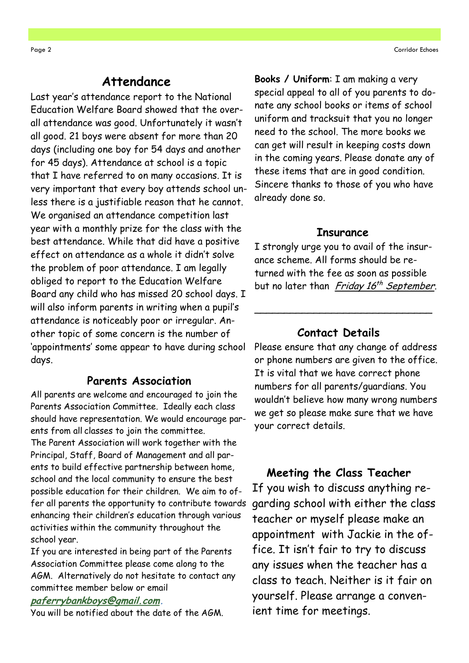#### **Attendance**

Last year's attendance report to the National Education Welfare Board showed that the overall attendance was good. Unfortunately it wasn't all good. 21 boys were absent for more than 20 days (including one boy for 54 days and another for 45 days). Attendance at school is a topic that I have referred to on many occasions. It is very important that every boy attends school unless there is a justifiable reason that he cannot. We organised an attendance competition last year with a monthly prize for the class with the best attendance. While that did have a positive effect on attendance as a whole it didn't solve the problem of poor attendance. I am legally obliged to report to the Education Welfare Board any child who has missed 20 school days. I will also inform parents in writing when a pupil's attendance is noticeably poor or irregular. Another topic of some concern is the number of 'appointments' some appear to have during school days.

#### **Parents Association**

All parents are welcome and encouraged to join the Parents Association Committee. Ideally each class should have representation. We would encourage parents from all classes to join the committee. The Parent Association will work together with the Principal, Staff, Board of Management and all parents to build effective partnership between home, school and the local community to ensure the best possible education for their children. We aim to offer all parents the opportunity to contribute towards enhancing their children's education through various activities within the community throughout the school year.

If you are interested in being part of the Parents Association Committee please come along to the AGM. Alternatively do not hesitate to contact any committee member below or email

#### **[paferrybankboys@gmail.com.](mailto:paferrybankboys@gmail.com)**

You will be notified about the date of the AGM.

**Books / Uniform**: I am making a very special appeal to all of you parents to donate any school books or items of school uniform and tracksuit that you no longer need to the school. The more books we can get will result in keeping costs down in the coming years. Please donate any of these items that are in good condition. Sincere thanks to those of you who have already done so.

#### **Insurance**

I strongly urge you to avail of the insurance scheme. All forms should be returned with the fee as soon as possible but no later than *Friday 16<sup>th</sup> September*.

\_\_\_\_\_\_\_\_\_\_\_\_\_\_\_\_\_\_\_\_\_\_\_\_\_\_\_\_\_\_

#### **Contact Details**

Please ensure that any change of address or phone numbers are given to the office. It is vital that we have correct phone numbers for all parents/guardians. You wouldn't believe how many wrong numbers we get so please make sure that we have your correct details.

#### **Meeting the Class Teacher**

If you wish to discuss anything regarding school with either the class teacher or myself please make an appointment with Jackie in the office. It isn't fair to try to discuss any issues when the teacher has a class to teach. Neither is it fair on yourself. Please arrange a convenient time for meetings.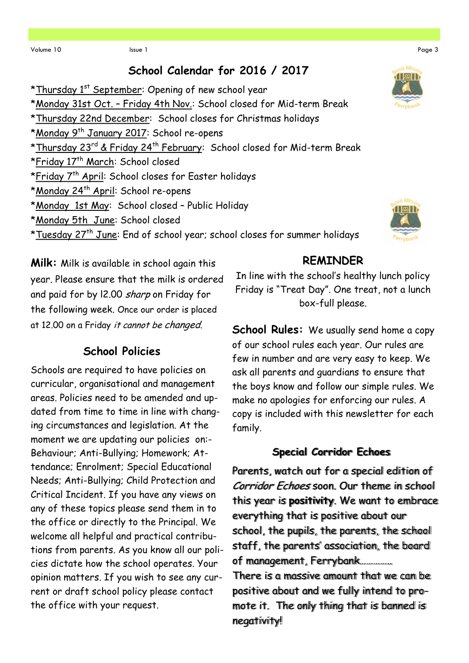### **School Calendar for 2016 / 2017**

\*Thursday  $1<sup>st</sup>$  September: Opening of new school year \*Monday 31st Oct. – Friday 4th Nov.: School closed for Mid-term Break \*Thursday 22nd December: School closes for Christmas holidays \*Monday 9th January 2017: School re-opens \*Thursday 23rd & Friday 24th February: School closed for Mid-term Break \*Friday 17th March: School closed \*Friday 7<sup>th</sup> April: School closes for Easter holidays \*Monday 24<sup>th</sup> April: School re-opens \*Monday 1st May: School closed – Public Holiday \*Monday 5th June: School closed \*Tuesday 27<sup>th</sup> June: End of school year; school closes for summer holidays



**Milk:** Milk is available in school again this year. Please ensure that the milk is ordered and paid for by 12.00 sharp on Friday for the following week. Once our order is placed at 12.00 on a Friday it cannot be changed.

# **School Policies**

Schools are required to have policies on curricular, organisational and management areas. Policies need to be amended and updated from time to time in line with changing circumstances and legislation. At the moment we are updating our policies on:- Behaviour; Anti-Bullying; Homework; Attendance; Enrolment; Special Educational Needs; Anti-Bullying; Child Protection and Critical Incident. If you have any views on any of these topics please send them in to the office or directly to the Principal. We welcome all helpful and practical contributions from parents. As you know all our policies dictate how the school operates. Your opinion matters. If you wish to see any current or draft school policy please contact the office with your request.

In line with the school's healthy lunch policy Friday is "Treat Day". One treat, not a lunch box-full please.

**REMINDER** 

**School Rules:** We usually send home a copy of our school rules each year. Our rules are few in number and are very easy to keep. We ask all parents and guardians to ensure that the boys know and follow our simple rules. We make no apologies for enforcing our rules. A copy is included with this newsletter for each family.

#### **Special Corridor Echoes**

Parents, watch out for a special edition of Corridor Echoes soon. Our theme in school this year is **positivity**. We want to embrace everything that is positive about our school, the pupils, the parents, the school staff, the parents' association, the board of management, Ferrybank………….. There is a massive amount that we can be positive about and we fully intend to promote it. The only thing that is banned is negativity!

 $31$  M<sub>b</sub>